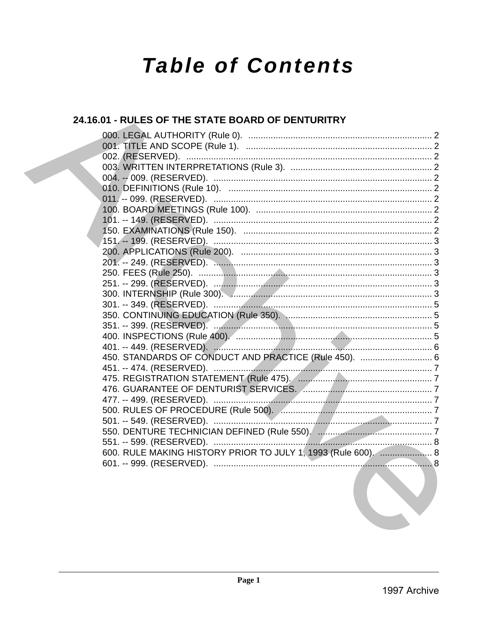# **Table of Contents**

# 24.16.01 - RULES OF THE STATE BOARD OF DENTURITRY

| 450. STANDARDS OF CONDUCT AND PRACTICE (Rule 450).  6                     |  |
|---------------------------------------------------------------------------|--|
|                                                                           |  |
|                                                                           |  |
| 476. GUARANTEE OF DENTURIST SERVICES. Annual Alexandrian Communications 7 |  |
|                                                                           |  |
|                                                                           |  |
|                                                                           |  |
|                                                                           |  |
|                                                                           |  |
| 600. RULE MAKING HISTORY PRIOR TO JULY 1, 1993 (Rule 600).  8             |  |
|                                                                           |  |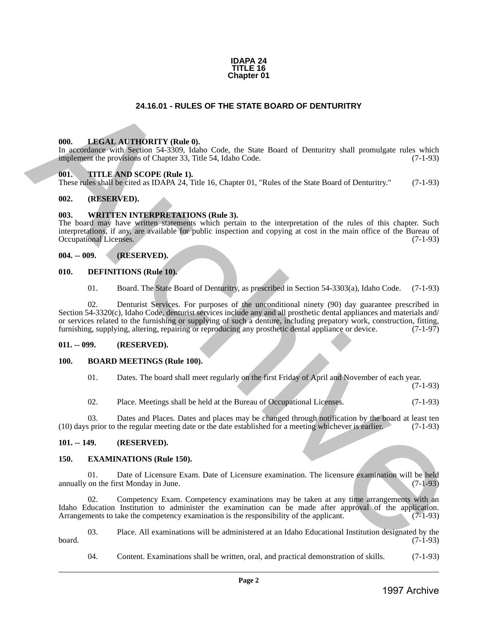#### **IDAPA 24 TITLE 16 Chapter 01**

# **24.16.01 - RULES OF THE STATE BOARD OF DENTURITRY**

#### <span id="page-1-1"></span>**000. LEGAL AUTHORITY (Rule 0).**

In accordance with Section 54-3309, Idaho Code, the State Board of Denturitry shall promulgate rules which implement the provisions of Chapter 33, Title 54, Idaho Code. (7-1-93)

#### <span id="page-1-2"></span>**001. TITLE AND SCOPE (Rule 1).**

These rules shall be cited as IDAPA 24, Title 16, Chapter 01, "Rules of the State Board of Denturitry." (7-1-93)

#### <span id="page-1-3"></span>**002. (RESERVED).**

#### <span id="page-1-4"></span>**003. WRITTEN INTERPRETATIONS (Rule 3).**

The board may have written statements which pertain to the interpretation of the rules of this chapter. Such interpretations, if any, are available for public inspection and copying at cost in the main office of the Bureau of Occupational Licenses. (7-1-93)

#### <span id="page-1-5"></span>**004. -- 009. (RESERVED).**

#### <span id="page-1-6"></span>**010. DEFINITIONS (Rule 10).**

01. Board. The State Board of Denturitry, as prescribed in Section 54-3303(a), Idaho Code. (7-1-93)

<span id="page-1-0"></span>02. Denturist Services. For purposes of the unconditional ninety (90) day guarantee prescribed in Section 54-3320(c), Idaho Code, denturist services include any and all prosthetic dental appliances and materials and/ or services related to the furnishing or supplying of such a denture, including prepatory work, construction, fitting, furnishing, supplying, altering, repairing or reproducing any prosthetic dental appliance or device. (7-1-97) 24.16.01 - RULES OF THE STATE BOARD OF DENTURITRY<br>
1998. LIBERAL ATRIORITY (Reds 0),<br>
in account we call the constraint of the state is a state based of Denturity shall premate reds which<br>
in process with State Archive Ar

#### <span id="page-1-7"></span>**011. -- 099. (RESERVED).**

# <span id="page-1-8"></span>**100. BOARD MEETINGS (Rule 100).**

01. Dates. The board shall meet regularly on the first Friday of April and November of each year.

(7-1-93)

02. Place. Meetings shall be held at the Bureau of Occupational Licenses. (7-1-93)

03. Dates and Places. Dates and places may be changed through notification by the board at least ten (10) days prior to the regular meeting date or the date established for a meeting whichever is earlier. (7-1-93)

#### <span id="page-1-9"></span>**101. -- 149. (RESERVED).**

#### <span id="page-1-10"></span>**150. EXAMINATIONS (Rule 150).**

01. Date of Licensure Exam. Date of Licensure examination. The licensure examination will be held on the first Monday in June. (7-1-93) annually on the first Monday in June.

02. Competency Exam. Competency examinations may be taken at any time arrangements with an Idaho Education Institution to administer the examination can be made after approval of the application.<br>Arrangements to take the competency examination is the responsibility of the applicant. (7-1-93) Arrangements to take the competency examination is the responsibility of the applicant.

03. Place. All examinations will be administered at an Idaho Educational Institution designated by the board. (7-1-93)

04. Content. Examinations shall be written, oral, and practical demonstration of skills. (7-1-93)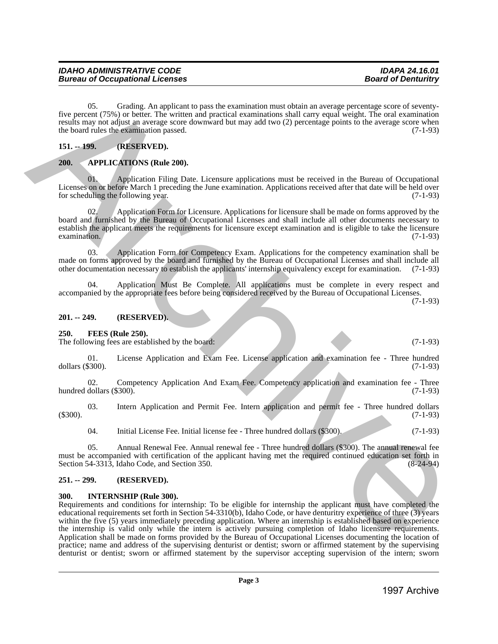05. Grading. An applicant to pass the examination must obtain an average percentage score of seventyfive percent (75%) or better. The written and practical examinations shall carry equal weight. The oral examination results may not adjust an average score downward but may add two (2) percentage points to the average score when the board rules the examination passed.  $(7-1-93)$ 

<span id="page-2-0"></span>**151. -- 199. (RESERVED).**

# <span id="page-2-1"></span>**200. APPLICATIONS (Rule 200).**

01. Application Filing Date. Licensure applications must be received in the Bureau of Occupational Licenses on or before March 1 preceding the June examination. Applications received after that date will be held over<br>for scheduling the following year. (7-1-93) for scheduling the following year.

02. Application Form for Licensure. Applications for licensure shall be made on forms approved by the board and furnished by the Bureau of Occupational Licenses and shall include all other documents necessary to establish the applicant meets the requirements for licensure except examination and is eligible to take the licensure examination. (7-1-93)  $\alpha$  examination. (7-1-93)

03. Application Form for Competency Exam. Applications for the competency examination shall be made on forms approved by the board and furnished by the Bureau of Occupational Licenses and shall include all other documentation necessary to establish the applicants' internship equivalency except for examination. (7-1-93)

04. Application Must Be Complete. All applications must be complete in every respect and accompanied by the appropriate fees before being considered received by the Bureau of Occupational Licenses.

(7-1-93)

# <span id="page-2-2"></span>**201. -- 249. (RESERVED).**

# <span id="page-2-3"></span>**250. FEES (Rule 250).**

The following fees are established by the board: (7-1-93) (7-1-93)

01. License Application and Exam Fee. License application and examination fee - Three hundred dollars (\$300). (7-1-93)

02. Competency Application And Exam Fee. Competency application and examination fee - Three hundred dollars  $(\text{\$300}).$  (7-1-93)

03. Intern Application and Permit Fee. Intern application and permit fee - Three hundred dollars  $(3300)$ . (1-93)

04. Initial License Fee. Initial license fee - Three hundred dollars (\$300). (7-1-93)

05. Annual Renewal Fee. Annual renewal fee - Three hundred dollars (\$300). The annual renewal fee must be accompanied with certification of the applicant having met the required continued education set forth in Section 54-3313, Idaho Code, and Section 350. Section 54-3313, Idaho Code, and Section 350.

# <span id="page-2-4"></span>**251. -- 299. (RESERVED).**

# <span id="page-2-5"></span>**300. INTERNSHIP (Rule 300).**

Requirements and conditions for internship: To be eligible for internship the applicant must have completed the educational requirements set forth in Section 54-3310(b), Idaho Code, or have denturitry experience of three (3) years within the five (5) years immediately preceding application. Where an internship is established based on experience the internship is valid only while the intern is actively pursuing completion of Idaho licensure requirements. Application shall be made on forms provided by the Bureau of Occupational Licenses documenting the location of practice; name and address of the supervising denturist or dentist; sworn or affirmed statement by the supervising denturist or dentist; sworn or affirmed statement by the supervisor accepting supervision of the intern; sworn 16% Containing American binary is entirely and the simulation and photon in contained to the contained contained and the contained and the contained and the contained and the contained and the contained and the contained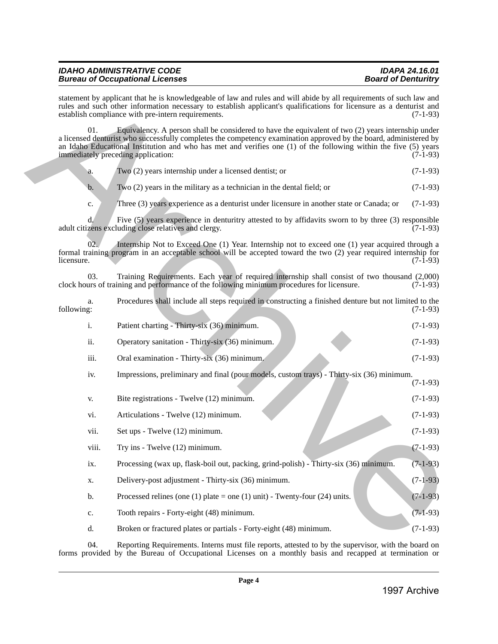# *IDAHO ADMINISTRATIVE CODE IDAPA 24.16.01 Bureau of Occupational Licenses*

|  | Two (2) years internship under a licensed dentist; or | $(7-1-93)$ |
|--|-------------------------------------------------------|------------|
|  |                                                       |            |

| 04.                       | Reporting Requirements. Interns must file reports, attested to by the supervisor, with the board on<br>forms provided by the Bureau of Occupational Licenses on a monthly basis and recapped at termination or                                                                                                                                                                    |            |
|---------------------------|-----------------------------------------------------------------------------------------------------------------------------------------------------------------------------------------------------------------------------------------------------------------------------------------------------------------------------------------------------------------------------------|------------|
| d.                        | Broken or fractured plates or partials - Forty-eight (48) minimum.                                                                                                                                                                                                                                                                                                                | $(7-1-93)$ |
| c.                        | Tooth repairs - Forty-eight (48) minimum.                                                                                                                                                                                                                                                                                                                                         | $(7-1-93)$ |
| b.                        | Processed relines (one (1) plate = one (1) unit) - Twenty-four (24) units.                                                                                                                                                                                                                                                                                                        | $(7-1-93)$ |
| X.                        | Delivery-post adjustment - Thirty-six (36) minimum.                                                                                                                                                                                                                                                                                                                               | $(7-1-93)$ |
| $\mathbf{1} \mathbf{X}$ . | Processing (wax up, flask-boil out, packing, grind-polish) - Thirty-six (36) minimum.                                                                                                                                                                                                                                                                                             | $(7-1-93)$ |
| viii.                     | Try ins - Twelve (12) minimum.                                                                                                                                                                                                                                                                                                                                                    | $(7-1-93)$ |
| vii.                      | Set ups - Twelve (12) minimum.                                                                                                                                                                                                                                                                                                                                                    | $(7-1-93)$ |
| vi.                       | Articulations - Twelve (12) minimum.                                                                                                                                                                                                                                                                                                                                              | $(7-1-93)$ |
| V.                        | Bite registrations - Twelve (12) minimum.                                                                                                                                                                                                                                                                                                                                         | $(7-1-93)$ |
| iv.                       | Impressions, preliminary and final (pour models, custom trays) - Thirty-six (36) minimum.                                                                                                                                                                                                                                                                                         | $(7-1-93)$ |
| iii.                      | Oral examination - Thirty-six (36) minimum.                                                                                                                                                                                                                                                                                                                                       | $(7-1-93)$ |
| ii.                       | Operatory sanitation - Thirty-six (36) minimum.                                                                                                                                                                                                                                                                                                                                   | $(7-1-93)$ |
| i.                        | Patient charting - Thirty-six (36) minimum.                                                                                                                                                                                                                                                                                                                                       | $(7-1-93)$ |
| a.<br>following:          | Procedures shall include all steps required in constructing a finished denture but not limited to the                                                                                                                                                                                                                                                                             | $(7-1-93)$ |
| 03.                       | Training Requirements. Each year of required internship shall consist of two thousand (2,000)<br>clock hours of training and performance of the following minimum procedures for licensure.                                                                                                                                                                                       | $(7-1-93)$ |
| 02.<br>licensure.         | Internship Not to Exceed One (1) Year. Internship not to exceed one (1) year acquired through a<br>formal training program in an acceptable school will be accepted toward the two (2) year required internship for                                                                                                                                                               | $(7-1-93)$ |
| d.                        | Five (5) years experience in denturitry attested to by affidavits sworn to by three (3) responsible<br>adult citizens excluding close relatives and clergy.                                                                                                                                                                                                                       | $(7-1-93)$ |
| c.                        | Three (3) years experience as a denturist under licensure in another state or Canada; or                                                                                                                                                                                                                                                                                          | $(7-1-93)$ |
| $\mathbf b$ .             | Two (2) years in the military as a technician in the dental field; or                                                                                                                                                                                                                                                                                                             | $(7-1-93)$ |
| a.                        | Two (2) years internship under a licensed dentist; or                                                                                                                                                                                                                                                                                                                             | $(7-1-93)$ |
| 01.                       | Equivalency. A person shall be considered to have the equivalent of two (2) years internship under<br>a licensed denturist who successfully completes the competency examination approved by the board, administered by<br>an Idaho Educational Institution and who has met and verifies one (1) of the following within the five (5) years<br>immediately preceding application: | $(7-1-93)$ |
|                           | statement by applicant that he is knowledgeable of law and rules and will abide by all requirements of such law and<br>rules and such other information necessary to establish applicant's qualifications for licensure as a denturist and<br>establish compliance with pre-intern requirements.                                                                                  | $(7-1-93)$ |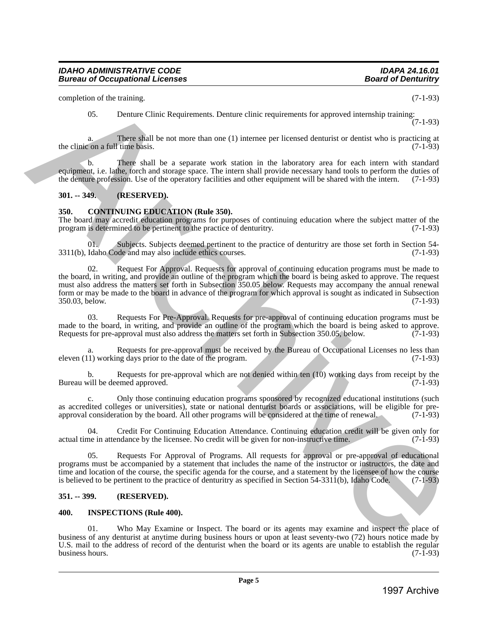completion of the training. (7-1-93)

05. Denture Clinic Requirements. Denture clinic requirements for approved internship training:

(7-1-93)

a. There shall be not more than one (1) internee per licensed denturist or dentist who is practicing at con a full time basis. (7-1-93) the clinic on a full time basis.

b. There shall be a separate work station in the laboratory area for each intern with standard equipment, i.e. lathe, torch and storage space. The intern shall provide necessary hand tools to perform the duties of the denture profession. Use of the operatory facilities and other equipment will be shared with the intern. (7-1-93)

# <span id="page-4-0"></span>**301. -- 349. (RESERVED).**

# <span id="page-4-1"></span>**350. CONTINUING EDUCATION (Rule 350).**

The board may accredit education programs for purposes of continuing education where the subject matter of the program is determined to be pertinent to the practice of denturity. (7-1-93) program is determined to be pertinent to the practice of denturitry.

01. Subjects. Subjects deemed pertinent to the practice of denturitry are those set forth in Section 54-<br>Idaho Code and may also include ethics courses. (7-1-93)  $3311(b)$ , Idaho Code and may also include ethics courses.

02. Request For Approval. Requests for approval of continuing education programs must be made to the board, in writing, and provide an outline of the program which the board is being asked to approve. The request must also address the matters set forth in Subsection 350.05 below. Requests may accompany the annual renewal form or may be made to the board in advance of the program for which approval is sought as indicated in Subsection 350.03, below. (7-1-93) 350.03, below. complete to the internal particle internal particle and the internal particle and the internal particle and the internal particle and the internal particle and the internal particle and the internal particle and the inter

03. Requests For Pre-Approval. Requests for pre-approval of continuing education programs must be made to the board, in writing, and provide an outline of the program which the board is being asked to approve.<br>Requests for pre-approval must also address the matters set forth in Subsection 350.05, below. (7-1-93) Requests for pre-approval must also address the matters set forth in Subsection 350.05, below.

a. Requests for pre-approval must be received by the Bureau of Occupational Licenses no less than 1) working days prior to the date of the program. (7-1-93) eleven  $(11)$  working days prior to the date of the program.

b. Requests for pre-approval which are not denied within ten  $(10)$  working days from receipt by the vill be deemed approved.  $(7-1-93)$ Bureau will be deemed approved.

c. Only those continuing education programs sponsored by recognized educational institutions (such as accredited colleges or universities), state or national denturist boards or associations, will be eligible for pre-<br>approval consideration by the board. All other programs will be considered at the time of renewal. (7-1 approval consideration by the board. All other programs will be considered at the time of renewal.

04. Credit For Continuing Education Attendance. Continuing education credit will be given only for actual time in attendance by the licensee. No credit will be given for non-instructive time. (7-1-93)

05. Requests For Approval of Programs. All requests for approval or pre-approval of educational programs must be accompanied by a statement that includes the name of the instructor or instructors, the date and time and location of the course, the specific agenda for the course, and a statement by the licensee of how the course is believed to be pertinent to the practice of denturitry as specified in Section 54-3311(b), Idaho Code. (7-1-93)

# <span id="page-4-2"></span>**351. -- 399. (RESERVED).**

#### <span id="page-4-3"></span>**400. INSPECTIONS (Rule 400).**

01. Who May Examine or Inspect. The board or its agents may examine and inspect the place of business of any denturist at anytime during business hours or upon at least seventy-two (72) hours notice made by U.S. mail to the address of record of the denturist when the board or its agents are unable to establish the regular business hours. (7-1-93) business hours.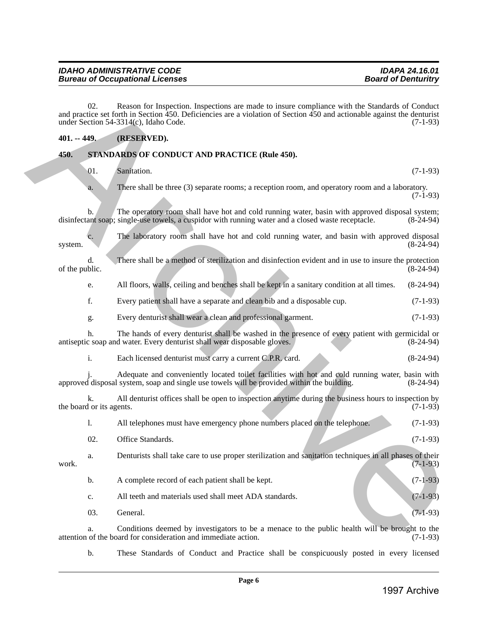#### *IDAHO ADMINISTRATIVE CODE IDAPA 24.16.01* **Bureau of Occupational Licenses**

# <span id="page-5-0"></span>**401. -- 449. (RESERVED).**

# <span id="page-5-1"></span>**450. STANDARDS OF CONDUCT AND PRACTICE (Rule 450).**

|         | $401. - 449.$                  | (RESERVED).                                                                                                                                                                                          |             |
|---------|--------------------------------|------------------------------------------------------------------------------------------------------------------------------------------------------------------------------------------------------|-------------|
| 450.    |                                | STANDARDS OF CONDUCT AND PRACTICE (Rule 450).                                                                                                                                                        |             |
|         | 01.                            | Sanitation.                                                                                                                                                                                          | $(7-1-93)$  |
|         | a.                             | There shall be three (3) separate rooms; a reception room, and operatory room and a laboratory.                                                                                                      | $(7-1-93)$  |
|         | b.                             | The operatory room shall have hot and cold running water, basin with approved disposal system;<br>disinfectant soap; single-use towels, a cuspidor with running water and a closed waste receptacle. | $(8-24-94)$ |
| system. | c.                             | The laboratory room shall have hot and cold running water, and basin with approved disposal                                                                                                          | $(8-24-94)$ |
|         | d.<br>of the public.           | There shall be a method of sterilization and disinfection evident and in use to insure the protection                                                                                                | $(8-24-94)$ |
|         | e.                             | All floors, walls, ceiling and benches shall be kept in a sanitary condition at all times.                                                                                                           | $(8-24-94)$ |
|         | f.                             | Every patient shall have a separate and clean bib and a disposable cup.                                                                                                                              | $(7-1-93)$  |
|         | g.                             | Every denturist shall wear a clean and professional garment.                                                                                                                                         | $(7-1-93)$  |
|         | h.                             | The hands of every denturist shall be washed in the presence of every patient with germicidal or<br>antiseptic soap and water. Every denturist shall wear disposable gloves.                         | $(8-24-94)$ |
|         | i.                             | Each licensed denturist must carry a current C.P.R. card.                                                                                                                                            | $(8-24-94)$ |
|         |                                | Adequate and conveniently located toilet facilities with hot and cold running water, basin with<br>approved disposal system, soap and single use towels will be provided within the building.        | $(8-24-94)$ |
|         | k.<br>the board or its agents. | All denturist offices shall be open to inspection anytime during the business hours to inspection by                                                                                                 | $(7-1-93)$  |
|         | 1.                             | All telephones must have emergency phone numbers placed on the telephone.                                                                                                                            | $(7-1-93)$  |
|         | 02.                            | Office Standards.                                                                                                                                                                                    | $(7-1-93)$  |
| work.   | a.                             | Denturists shall take care to use proper sterilization and sanitation techniques in all phases of their                                                                                              | $(7-1-93)$  |
|         | b.                             | A complete record of each patient shall be kept.                                                                                                                                                     | $(7-1-93)$  |
|         | c.                             | All teeth and materials used shall meet ADA standards.                                                                                                                                               | $(7-1-93)$  |
|         | 03.                            | General.                                                                                                                                                                                             | $(7-1-93)$  |
|         | a.                             | Conditions deemed by investigators to be a menace to the public health will be brought to the<br>attention of the board for consideration and immediate action.                                      | $(7-1-93)$  |
|         | b.                             | These Standards of Conduct and Practice shall be conspicuously posted in every licensed                                                                                                              |             |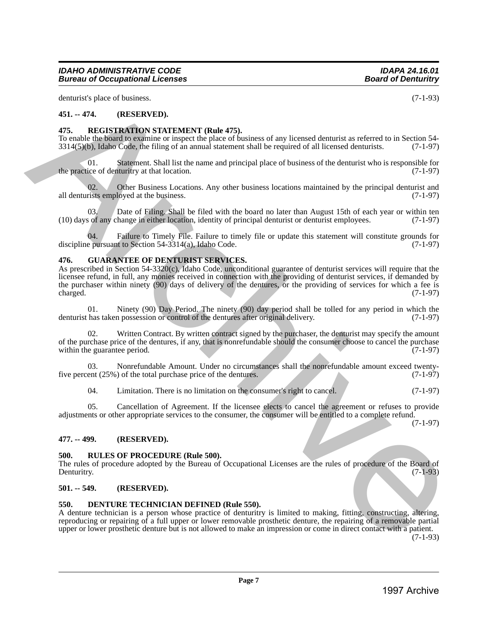denturist's place of business. (7-1-93)

# <span id="page-6-0"></span>**451. -- 474. (RESERVED).**

# <span id="page-6-1"></span>**475. REGISTRATION STATEMENT (Rule 475).**

To enable the board to examine or inspect the place of business of any licensed denturist as referred to in Section 54-<br>3314(5)(b). Idaho Code, the filing of an annual statement shall be required of all licensed denturists  $3314(5)(b)$ , Idaho Code, the filing of an annual statement shall be required of all licensed denturists.

01. Statement. Shall list the name and principal place of business of the denturist who is responsible for the practice of denturitry at that location. (7-1-97)

02. Other Business Locations. Any other business locations maintained by the principal denturist and rists employed at the business.  $(7-1-97)$ all denturists employed at the business.

03. Date of Filing. Shall be filed with the board no later than August 15th of each year or within ten of any change in either location, identity of principal denturist or denturist employees. (7-1-97) (10) days of any change in either location, identity of principal denturist or denturist employees. (7-1-97)

Failure to Timely File. Failure to timely file or update this statement will constitute grounds for discipline pursuant to Section  $54-3314(a)$ , Idaho Code. (7-1-97)

#### <span id="page-6-2"></span>**476. GUARANTEE OF DENTURIST SERVICES.**

As prescribed in Section 54-3320(c), Idaho Code, unconditional guarantee of denturist services will require that the licensee refund, in full, any monies received in connection with the providing of denturist services, if demanded by the purchaser within ninety (90) days of delivery of the dentures, or the providing of services for which a fee is charged. (7-1-97) 6. Solution 1997 and the set of the set of the set of the set of the set of the set of the set of the set of the set of the set of the set of the set of the set of the set of the set of the set of the set of the set of th

01. Ninety (90) Day Period. The ninety (90) day period shall be tolled for any period in which the denturist has taken possession or control of the dentures after original delivery. (7-1-97)

Written Contract. By written contract signed by the purchaser, the denturist may specify the amount of the purchase price of the dentures, if any, that is nonrefundable should the consumer choose to cancel the purchase within the guarantee period.  $(7-1-97)$ within the guarantee period.

03. Nonrefundable Amount. Under no circumstances shall the nonrefundable amount exceed twenty-<br>ent (25%) of the total purchase price of the dentures. (7-1-97) five percent  $(25\%)$  of the total purchase price of the dentures.

04. Limitation. There is no limitation on the consumer's right to cancel. (7-1-97)

05. Cancellation of Agreement. If the licensee elects to cancel the agreement or refuses to provide adjustments or other appropriate services to the consumer, the consumer will be entitled to a complete refund.

#### <span id="page-6-3"></span>**477. -- 499. (RESERVED).**

#### <span id="page-6-4"></span>**500. RULES OF PROCEDURE (Rule 500).**

The rules of procedure adopted by the Bureau of Occupational Licenses are the rules of procedure of the Board of Denturity. (7-1-93) Denturitry. (7-1-93)

# <span id="page-6-5"></span>**501. -- 549. (RESERVED).**

# <span id="page-6-6"></span>**550. DENTURE TECHNICIAN DEFINED (Rule 550).**

A denture technician is a person whose practice of denturitry is limited to making, fitting, constructing, altering, reproducing or repairing of a full upper or lower removable prosthetic denture, the repairing of a removable partial upper or lower prosthetic denture but is not allowed to make an impression or come in direct contact with a patient.

 $(7-1-93)$ 

#### (7-1-97)